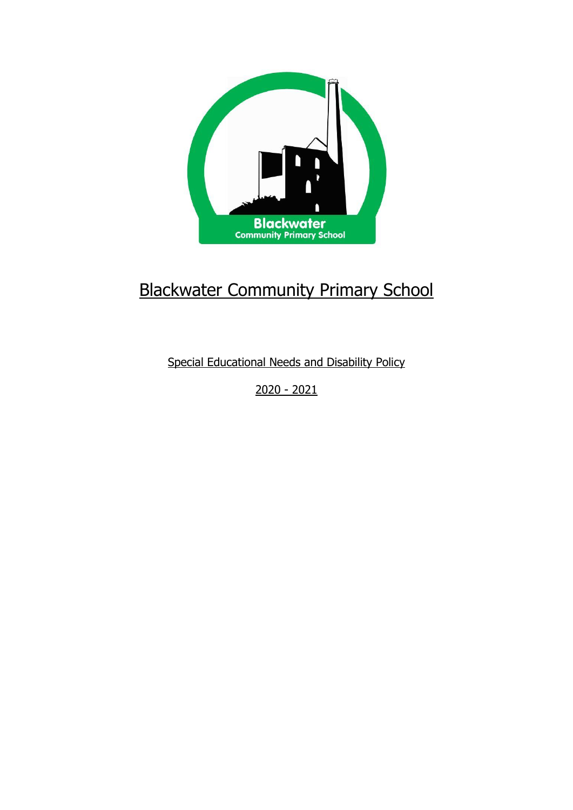

# Blackwater Community Primary School

Special Educational Needs and Disability Policy

2020 - 2021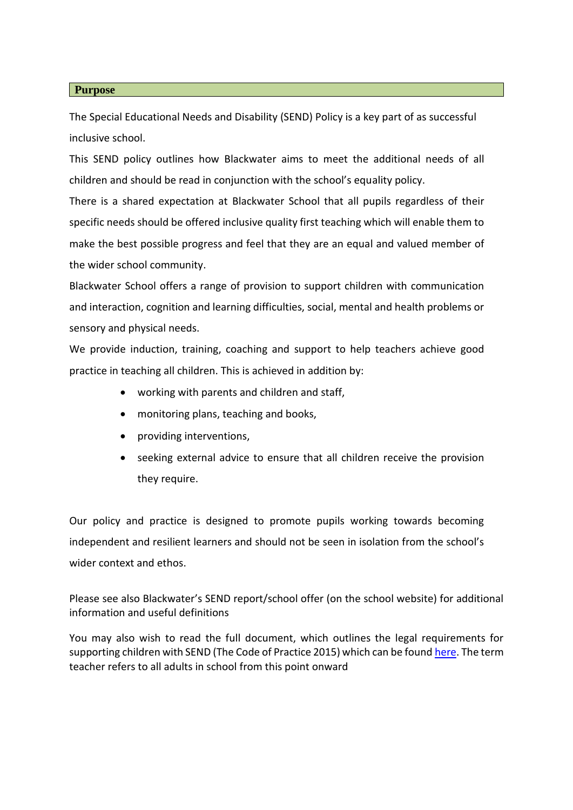#### **Purpose**

The Special Educational Needs and Disability (SEND) Policy is a key part of as successful inclusive school.

This SEND policy outlines how Blackwater aims to meet the additional needs of all children and should be read in conjunction with the school's equality policy.

There is a shared expectation at Blackwater School that all pupils regardless of their specific needs should be offered inclusive quality first teaching which will enable them to make the best possible progress and feel that they are an equal and valued member of the wider school community.

Blackwater School offers a range of provision to support children with communication and interaction, cognition and learning difficulties, social, mental and health problems or sensory and physical needs.

We provide induction, training, coaching and support to help teachers achieve good practice in teaching all children. This is achieved in addition by:

- working with parents and children and staff,
- monitoring plans, teaching and books,
- providing interventions,
- seeking external advice to ensure that all children receive the provision they require.

Our policy and practice is designed to promote pupils working towards becoming independent and resilient learners and should not be seen in isolation from the school's wider context and ethos.

Please see also Blackwater's SEND report/school offer (on the school website) for additional information and useful definitions

You may also wish to read the full document, which outlines the legal requirements for supporting children with SEND (The Code of Practice 2015) which can be foun[d here.](https://www.gov.uk/government/uploads/system/uploads/attachment_data/file/398815/SEND_Code_of_Practice_January_2015.pdf) The term teacher refers to all adults in school from this point onward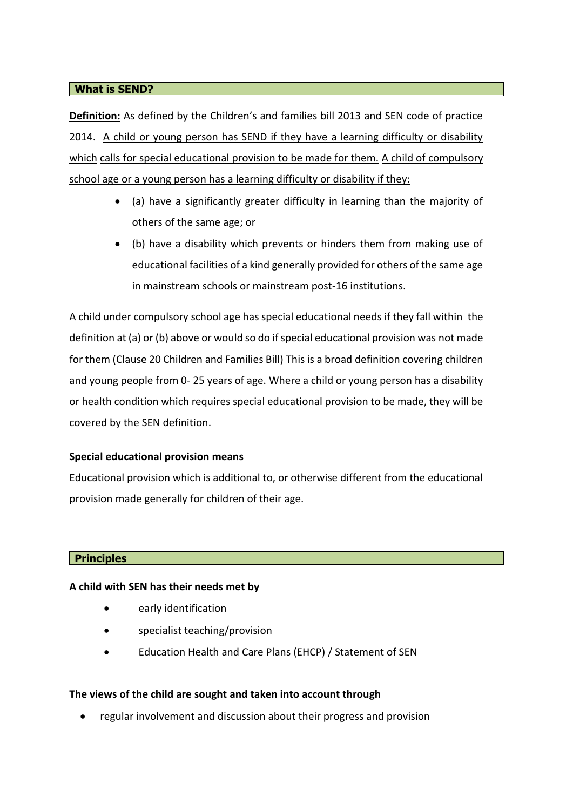#### **What is SEND?**

**Definition:** As defined by the Children's and families bill 2013 and SEN code of practice 2014. A child or young person has SEND if they have a learning difficulty or disability which calls for special educational provision to be made for them. A child of compulsory school age or a young person has a learning difficulty or disability if they:

- (a) have a significantly greater difficulty in learning than the majority of others of the same age; or
- (b) have a disability which prevents or hinders them from making use of educational facilities of a kind generally provided for others of the same age in mainstream schools or mainstream post-16 institutions.

A child under compulsory school age has special educational needs if they fall within the definition at (a) or (b) above or would so do if special educational provision was not made for them (Clause 20 Children and Families Bill) This is a broad definition covering children and young people from 0- 25 years of age. Where a child or young person has a disability or health condition which requires special educational provision to be made, they will be covered by the SEN definition.

#### **Special educational provision means**

Educational provision which is additional to, or otherwise different from the educational provision made generally for children of their age.

#### **Principles**

#### **A child with SEN has their needs met by**

- early identification
- specialist teaching/provision
- Education Health and Care Plans (EHCP) / Statement of SEN

#### **The views of the child are sought and taken into account through**

• regular involvement and discussion about their progress and provision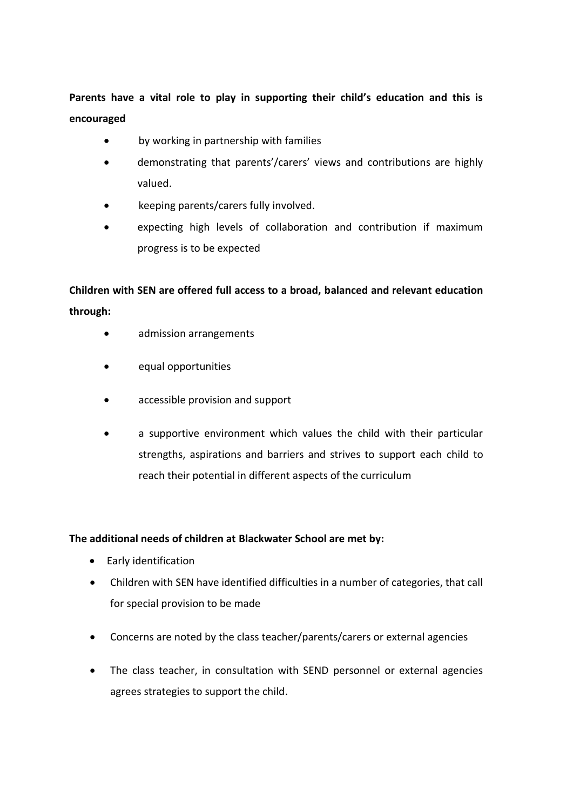**Parents have a vital role to play in supporting their child's education and this is encouraged**

- by working in partnership with families
- demonstrating that parents'/carers' views and contributions are highly valued.
- keeping parents/carers fully involved.
- expecting high levels of collaboration and contribution if maximum progress is to be expected

**Children with SEN are offered full access to a broad, balanced and relevant education through:**

- admission arrangements
- equal opportunities
- accessible provision and support
- a supportive environment which values the child with their particular strengths, aspirations and barriers and strives to support each child to reach their potential in different aspects of the curriculum

#### **The additional needs of children at Blackwater School are met by:**

- Early identification
- Children with SEN have identified difficulties in a number of categories, that call for special provision to be made
- Concerns are noted by the class teacher/parents/carers or external agencies
- The class teacher, in consultation with SEND personnel or external agencies agrees strategies to support the child.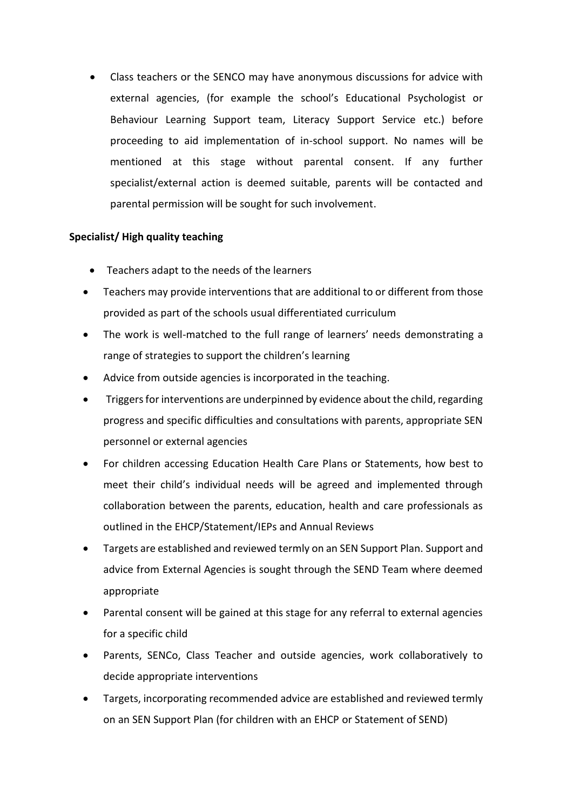• Class teachers or the SENCO may have anonymous discussions for advice with external agencies, (for example the school's Educational Psychologist or Behaviour Learning Support team, Literacy Support Service etc.) before proceeding to aid implementation of in-school support. No names will be mentioned at this stage without parental consent. If any further specialist/external action is deemed suitable, parents will be contacted and parental permission will be sought for such involvement.

## **Specialist/ High quality teaching**

- Teachers adapt to the needs of the learners
- Teachers may provide interventions that are additional to or different from those provided as part of the schools usual differentiated curriculum
- The work is well-matched to the full range of learners' needs demonstrating a range of strategies to support the children's learning
- Advice from outside agencies is incorporated in the teaching.
- Triggers for interventions are underpinned by evidence about the child, regarding progress and specific difficulties and consultations with parents, appropriate SEN personnel or external agencies
- For children accessing Education Health Care Plans or Statements, how best to meet their child's individual needs will be agreed and implemented through collaboration between the parents, education, health and care professionals as outlined in the EHCP/Statement/IEPs and Annual Reviews
- Targets are established and reviewed termly on an SEN Support Plan. Support and advice from External Agencies is sought through the SEND Team where deemed appropriate
- Parental consent will be gained at this stage for any referral to external agencies for a specific child
- Parents, SENCo, Class Teacher and outside agencies, work collaboratively to decide appropriate interventions
- Targets, incorporating recommended advice are established and reviewed termly on an SEN Support Plan (for children with an EHCP or Statement of SEND)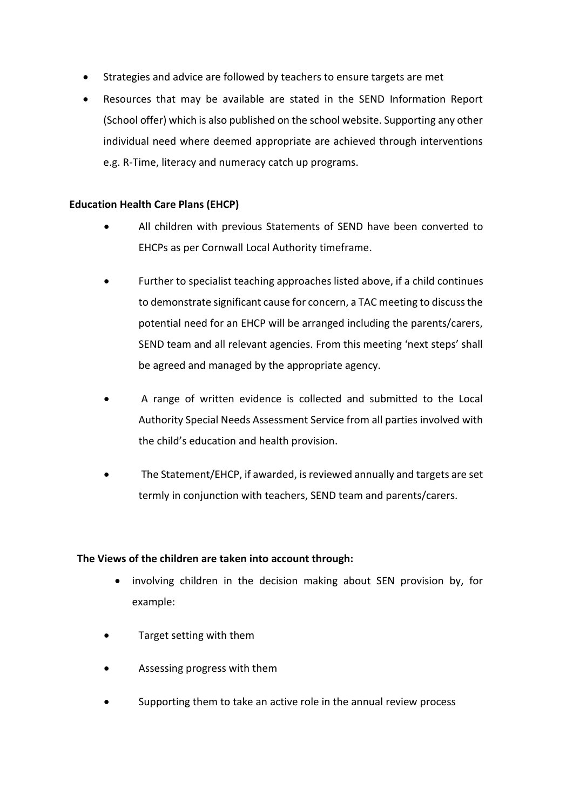- Strategies and advice are followed by teachers to ensure targets are met
- Resources that may be available are stated in the SEND Information Report (School offer) which is also published on the school website. Supporting any other individual need where deemed appropriate are achieved through interventions e.g. R-Time, literacy and numeracy catch up programs.

## **Education Health Care Plans (EHCP)**

- All children with previous Statements of SEND have been converted to EHCPs as per Cornwall Local Authority timeframe.
- Further to specialist teaching approaches listed above, if a child continues to demonstrate significant cause for concern, a TAC meeting to discuss the potential need for an EHCP will be arranged including the parents/carers, SEND team and all relevant agencies. From this meeting 'next steps' shall be agreed and managed by the appropriate agency.
- A range of written evidence is collected and submitted to the Local Authority Special Needs Assessment Service from all parties involved with the child's education and health provision.
- The Statement/EHCP, if awarded, is reviewed annually and targets are set termly in conjunction with teachers, SEND team and parents/carers.

#### **The Views of the children are taken into account through:**

- involving children in the decision making about SEN provision by, for example:
- Target setting with them
- Assessing progress with them
- Supporting them to take an active role in the annual review process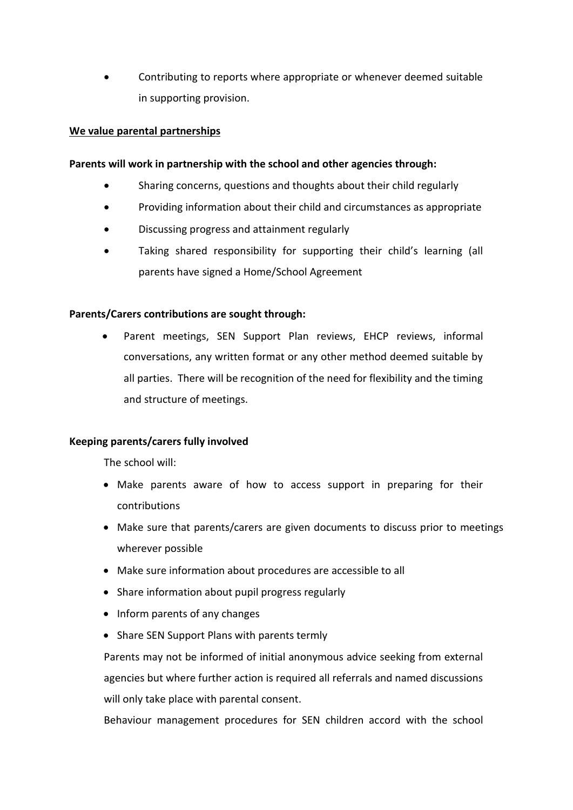• Contributing to reports where appropriate or whenever deemed suitable in supporting provision.

#### **We value parental partnerships**

#### **Parents will work in partnership with the school and other agencies through:**

- Sharing concerns, questions and thoughts about their child regularly
- Providing information about their child and circumstances as appropriate
- Discussing progress and attainment regularly
- Taking shared responsibility for supporting their child's learning (all parents have signed a Home/School Agreement

#### **Parents/Carers contributions are sought through:**

• Parent meetings, SEN Support Plan reviews, EHCP reviews, informal conversations, any written format or any other method deemed suitable by all parties. There will be recognition of the need for flexibility and the timing and structure of meetings.

#### **Keeping parents/carers fully involved**

The school will:

- Make parents aware of how to access support in preparing for their contributions
- Make sure that parents/carers are given documents to discuss prior to meetings wherever possible
- Make sure information about procedures are accessible to all
- Share information about pupil progress regularly
- Inform parents of any changes
- Share SEN Support Plans with parents termly

Parents may not be informed of initial anonymous advice seeking from external agencies but where further action is required all referrals and named discussions will only take place with parental consent.

Behaviour management procedures for SEN children accord with the school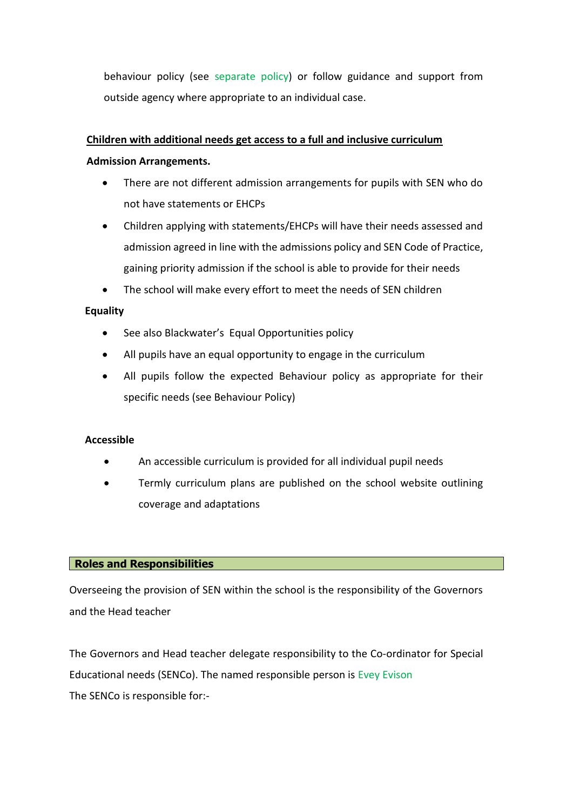behaviour policy (see separate policy) or follow guidance and support from outside agency where appropriate to an individual case.

#### **Children with additional needs get access to a full and inclusive curriculum**

## **Admission Arrangements.**

- There are not different admission arrangements for pupils with SEN who do not have statements or EHCPs
- Children applying with statements/EHCPs will have their needs assessed and admission agreed in line with the admissions policy and SEN Code of Practice, gaining priority admission if the school is able to provide for their needs
- The school will make every effort to meet the needs of SEN children

# **Equality**

- See also Blackwater's Equal Opportunities policy
- All pupils have an equal opportunity to engage in the curriculum
- All pupils follow the expected Behaviour policy as appropriate for their specific needs (see Behaviour Policy)

#### **Accessible**

- An accessible curriculum is provided for all individual pupil needs
- Termly curriculum plans are published on the school website outlining coverage and adaptations

#### **Roles and Responsibilities**

Overseeing the provision of SEN within the school is the responsibility of the Governors and the Head teacher

The Governors and Head teacher delegate responsibility to the Co-ordinator for Special Educational needs (SENCo). The named responsible person is Evey Evison The SENCo is responsible for:-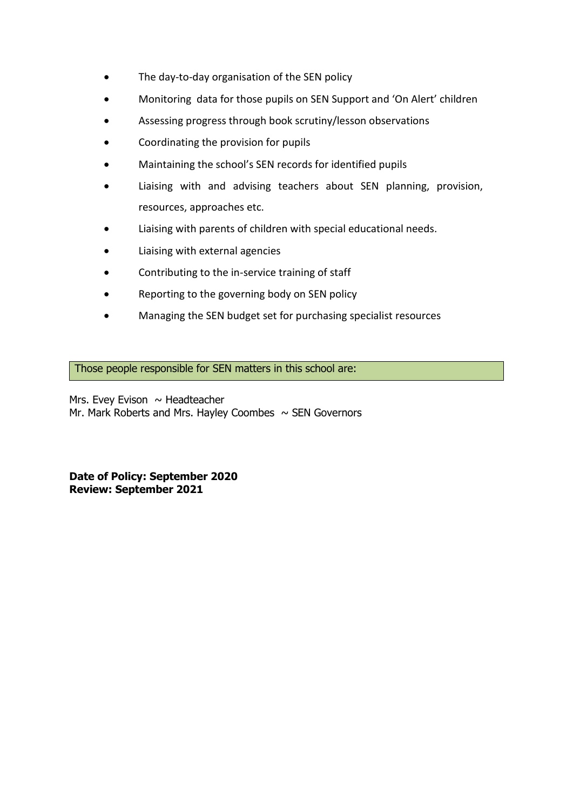- The day-to-day organisation of the SEN policy
- Monitoring data for those pupils on SEN Support and 'On Alert' children
- Assessing progress through book scrutiny/lesson observations
- Coordinating the provision for pupils
- Maintaining the school's SEN records for identified pupils
- Liaising with and advising teachers about SEN planning, provision, resources, approaches etc.
- Liaising with parents of children with special educational needs.
- Liaising with external agencies
- Contributing to the in-service training of staff
- Reporting to the governing body on SEN policy
- Managing the SEN budget set for purchasing specialist resources

Those people responsible for SEN matters in this school are:

Mrs. Evey Evison  $\sim$  Headteacher Mr. Mark Roberts and Mrs. Hayley Coombes  $\sim$  SEN Governors

**Date of Policy: September 2020 Review: September 2021**